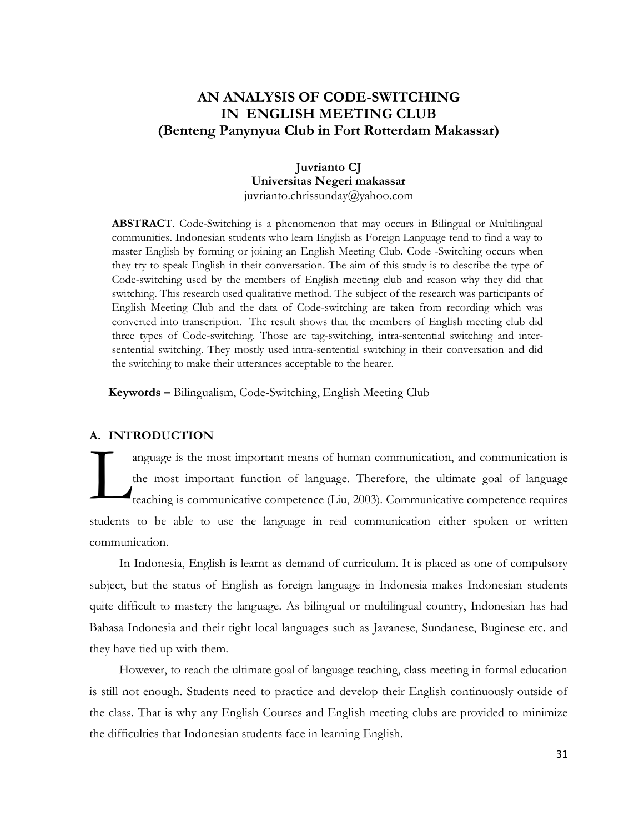# **AN ANALYSIS OF CODE-SWITCHING IN ENGLISH MEETING CLUB (Benteng Panynyua Club in Fort Rotterdam Makassar)**

## **Juvrianto CJ Universitas Negeri makassar** [juvrianto.chrissunday@yahoo.com](mailto:juvrianto.chrissunday@yahoo.com)

**ABSTRACT**. Code-Switching is a phenomenon that may occurs in Bilingual or Multilingual communities. Indonesian students who learn English as Foreign Language tend to find a way to master English by forming or joining an English Meeting Club. Code -Switching occurs when they try to speak English in their conversation. The aim of this study is to describe the type of Code-switching used by the members of English meeting club and reason why they did that switching. This research used qualitative method. The subject of the research was participants of English Meeting Club and the data of Code-switching are taken from recording which was converted into transcription. The result shows that the members of English meeting club did three types of Code-switching. Those are tag-switching, intra-sentential switching and intersentential switching. They mostly used intra-sentential switching in their conversation and did the switching to make their utterances acceptable to the hearer.

**Keywords –** Bilingualism, Code-Switching, English Meeting Club

## **A. INTRODUCTION**

anguage is the most important means of human communication, and communication is the most important function of language. Therefore, the ultimate goal of language teaching is communicative competence (Liu, 2003). Communicative competence requires students to be able to use the language in real communication either spoken or written communication. L

In Indonesia, English is learnt as demand of curriculum. It is placed as one of compulsory subject, but the status of English as foreign language in Indonesia makes Indonesian students quite difficult to mastery the language. As bilingual or multilingual country, Indonesian has had Bahasa Indonesia and their tight local languages such as Javanese, Sundanese, Buginese etc. and they have tied up with them.

However, to reach the ultimate goal of language teaching, class meeting in formal education is still not enough. Students need to practice and develop their English continuously outside of the class. That is why any English Courses and English meeting clubs are provided to minimize the difficulties that Indonesian students face in learning English.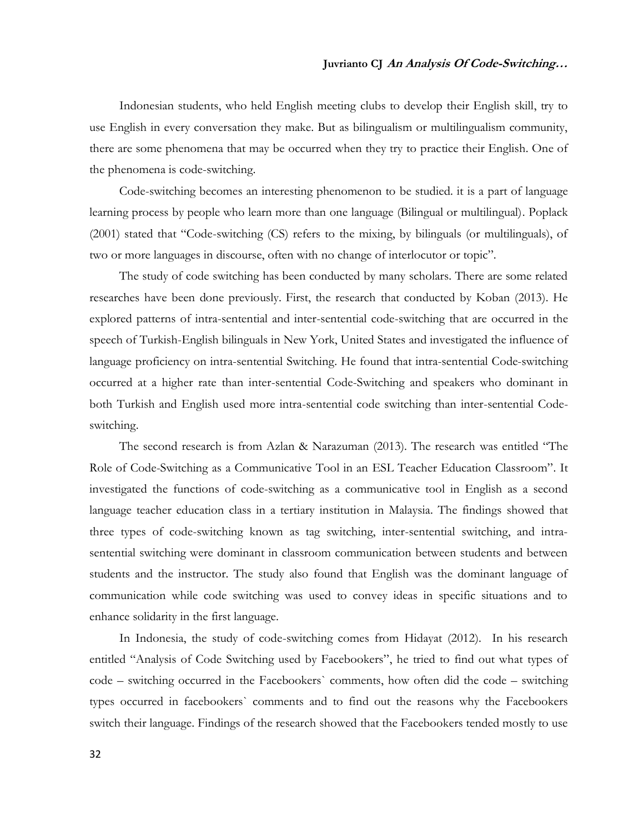Indonesian students, who held English meeting clubs to develop their English skill, try to use English in every conversation they make. But as bilingualism or multilingualism community, there are some phenomena that may be occurred when they try to practice their English. One of the phenomena is code-switching.

Code-switching becomes an interesting phenomenon to be studied. it is a part of language learning process by people who learn more than one language (Bilingual or multilingual). Poplack (2001) stated that "Code-switching (CS) refers to the mixing, by bilinguals (or multilinguals), of two or more languages in discourse, often with no change of interlocutor or topic".

The study of code switching has been conducted by many scholars. There are some related researches have been done previously. First, the research that conducted by Koban (2013). He explored patterns of intra-sentential and inter-sentential code-switching that are occurred in the speech of Turkish-English bilinguals in New York, United States and investigated the influence of language proficiency on intra-sentential Switching. He found that intra-sentential Code-switching occurred at a higher rate than inter-sentential Code-Switching and speakers who dominant in both Turkish and English used more intra-sentential code switching than inter-sentential Codeswitching.

The second research is from Azlan & Narazuman (2013). The research was entitled "The Role of Code-Switching as a Communicative Tool in an ESL Teacher Education Classroom". It investigated the functions of code-switching as a communicative tool in English as a second language teacher education class in a tertiary institution in Malaysia. The findings showed that three types of code-switching known as tag switching, inter-sentential switching, and intrasentential switching were dominant in classroom communication between students and between students and the instructor. The study also found that English was the dominant language of communication while code switching was used to convey ideas in specific situations and to enhance solidarity in the first language.

In Indonesia, the study of code-switching comes from Hidayat (2012). In his research entitled "Analysis of Code Switching used by Facebookers", he tried to find out what types of code – switching occurred in the Facebookers` comments, how often did the code – switching types occurred in facebookers` comments and to find out the reasons why the Facebookers switch their language. Findings of the research showed that the Facebookers tended mostly to use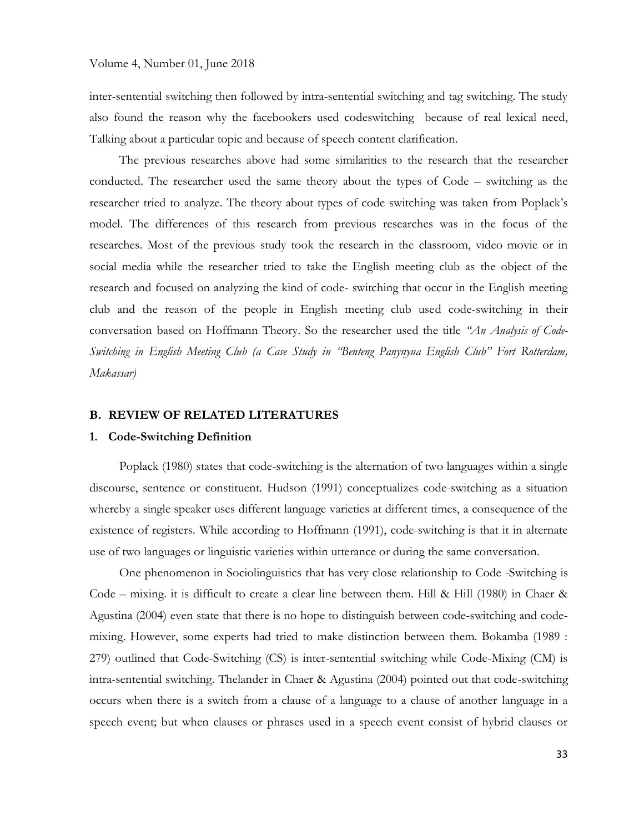inter-sentential switching then followed by intra-sentential switching and tag switching. The study also found the reason why the facebookers used codeswitching because of real lexical need, Talking about a particular topic and because of speech content clarification.

The previous researches above had some similarities to the research that the researcher conducted. The researcher used the same theory about the types of Code – switching as the researcher tried to analyze. The theory about types of code switching was taken from Poplack's model. The differences of this research from previous researches was in the focus of the researches. Most of the previous study took the research in the classroom, video movie or in social media while the researcher tried to take the English meeting club as the object of the research and focused on analyzing the kind of code- switching that occur in the English meeting club and the reason of the people in English meeting club used code-switching in their conversation based on Hoffmann Theory. So the researcher used the title *"An Analysis of Code-Switching in English Meeting Club (a Case Study in "Benteng Panynyua English Club" Fort Rotterdam, Makassar)*

#### **B. REVIEW OF RELATED LITERATURES**

#### **1. Code-Switching Definition**

Poplack (1980) states that code-switching is the alternation of two languages within a single discourse, sentence or constituent. Hudson (1991) conceptualizes code-switching as a situation whereby a single speaker uses different language varieties at different times, a consequence of the existence of registers. While according to Hoffmann (1991), code-switching is that it in alternate use of two languages or linguistic varieties within utterance or during the same conversation.

One phenomenon in Sociolinguistics that has very close relationship to Code -Switching is Code – mixing. it is difficult to create a clear line between them. Hill & Hill (1980) in Chaer & Agustina (2004) even state that there is no hope to distinguish between code-switching and codemixing. However, some experts had tried to make distinction between them. Bokamba (1989 : 279) outlined that Code-Switching (CS) is inter-sentential switching while Code-Mixing (CM) is intra-sentential switching. Thelander in Chaer & Agustina (2004) pointed out that code-switching occurs when there is a switch from a clause of a language to a clause of another language in a speech event; but when clauses or phrases used in a speech event consist of hybrid clauses or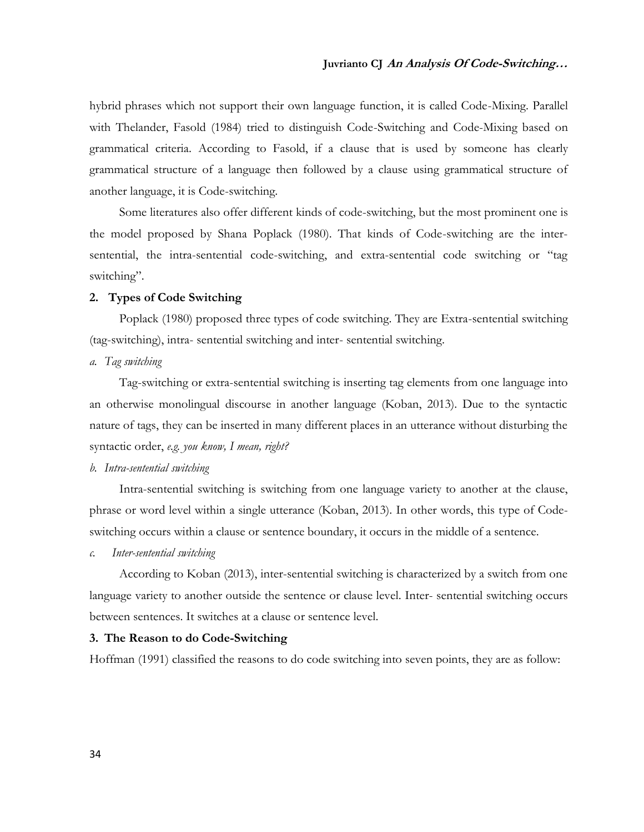hybrid phrases which not support their own language function, it is called Code-Mixing. Parallel with Thelander, Fasold (1984) tried to distinguish Code-Switching and Code-Mixing based on grammatical criteria. According to Fasold, if a clause that is used by someone has clearly grammatical structure of a language then followed by a clause using grammatical structure of another language, it is Code-switching.

Some literatures also offer different kinds of code-switching, but the most prominent one is the model proposed by Shana Poplack (1980). That kinds of Code-switching are the intersentential, the intra-sentential code-switching, and extra-sentential code switching or "tag switching".

## **2. Types of Code Switching**

Poplack (1980) proposed three types of code switching. They are Extra-sentential switching (tag-switching), intra- sentential switching and inter- sentential switching.

## *a. Tag switching*

Tag-switching or extra-sentential switching is inserting tag elements from one language into an otherwise monolingual discourse in another language (Koban, 2013). Due to the syntactic nature of tags, they can be inserted in many different places in an utterance without disturbing the syntactic order, *e.g. you know, I mean, right?*

## *b. Intra-sentential switching*

Intra-sentential switching is switching from one language variety to another at the clause, phrase or word level within a single utterance (Koban, 2013). In other words, this type of Codeswitching occurs within a clause or sentence boundary, it occurs in the middle of a sentence.

#### *c. Inter-sentential switching*

According to Koban (2013), inter-sentential switching is characterized by a switch from one language variety to another outside the sentence or clause level. Inter- sentential switching occurs between sentences. It switches at a clause or sentence level.

#### **3. The Reason to do Code-Switching**

Hoffman (1991) classified the reasons to do code switching into seven points, they are as follow: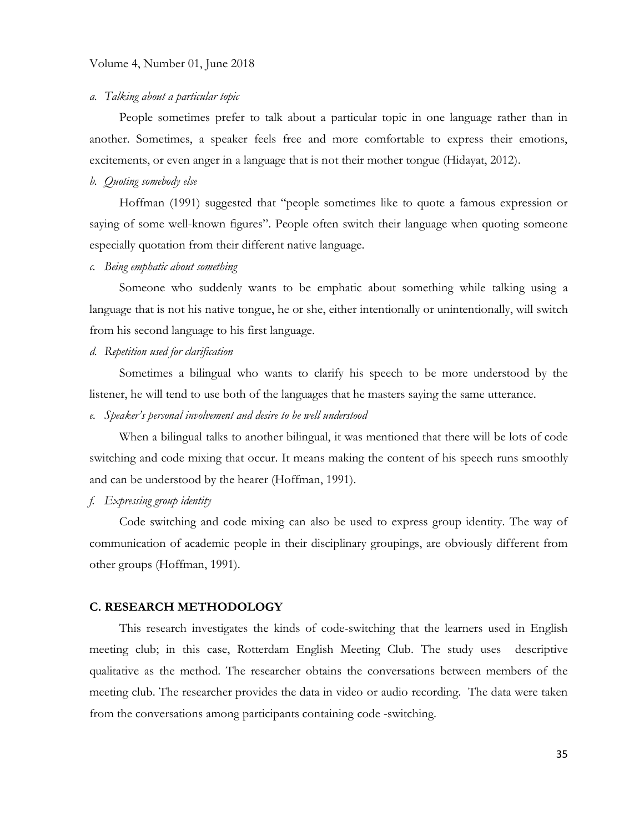#### *a. Talking about a particular topic*

People sometimes prefer to talk about a particular topic in one language rather than in another. Sometimes, a speaker feels free and more comfortable to express their emotions, excitements, or even anger in a language that is not their mother tongue (Hidayat, 2012).

### *b. Quoting somebody else*

Hoffman (1991) suggested that "people sometimes like to quote a famous expression or saying of some well-known figures". People often switch their language when quoting someone especially quotation from their different native language.

#### *c. Being emphatic about something*

Someone who suddenly wants to be emphatic about something while talking using a language that is not his native tongue, he or she, either intentionally or unintentionally, will switch from his second language to his first language.

#### *d. Repetition used for clarification*

Sometimes a bilingual who wants to clarify his speech to be more understood by the listener, he will tend to use both of the languages that he masters saying the same utterance.

## *e. Speaker's personal involvement and desire to be well understood*

When a bilingual talks to another bilingual, it was mentioned that there will be lots of code switching and code mixing that occur. It means making the content of his speech runs smoothly and can be understood by the hearer (Hoffman, 1991).

### *f. Expressing group identity*

Code switching and code mixing can also be used to express group identity. The way of communication of academic people in their disciplinary groupings, are obviously different from other groups (Hoffman, 1991).

## **C. RESEARCH METHODOLOGY**

This research investigates the kinds of code-switching that the learners used in English meeting club; in this case, Rotterdam English Meeting Club. The study uses descriptive qualitative as the method. The researcher obtains the conversations between members of the meeting club. The researcher provides the data in video or audio recording. The data were taken from the conversations among participants containing code -switching.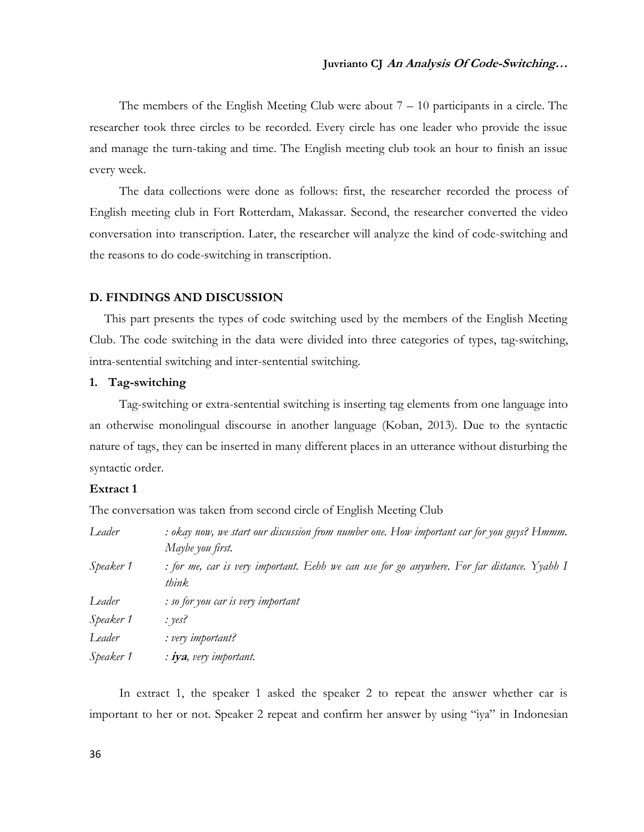The members of the English Meeting Club were about  $7 - 10$  participants in a circle. The researcher took three circles to be recorded. Every circle has one leader who provide the issue and manage the turn-taking and time. The English meeting club took an hour to finish an issue every week.

The data collections were done as follows: first, the researcher recorded the process of English meeting club in Fort Rotterdam, Makassar. Second, the researcher converted the video conversation into transcription. Later, the researcher will analyze the kind of code-switching and the reasons to do code-switching in transcription.

#### **D. FINDINGS AND DISCUSSION**

This part presents the types of code switching used by the members of the English Meeting Club. The code switching in the data were divided into three categories of types, tag-switching, intra-sentential switching and inter-sentential switching.

#### **1. Tag-switching**

Tag-switching or extra-sentential switching is inserting tag elements from one language into an otherwise monolingual discourse in another language (Koban, 2013). Due to the syntactic nature of tags, they can be inserted in many different places in an utterance without disturbing the syntactic order.

## **Extract 1**

The conversation was taken from second circle of English Meeting Club

| Leader    | : okay now, we start our discussion from number one. How important car for you guys? Hmmm.<br>Maybe you first. |
|-----------|----------------------------------------------------------------------------------------------------------------|
| Speaker 1 | : for me, car is very important. Eehh we can use for go anywhere. For far distance. Yyahh I<br>think           |
| Leader    | : so for you car is very important                                                                             |
| Speaker 1 | : yes?                                                                                                         |
| Leader    | : very important?                                                                                              |
| Speaker 1 | : iya, very important.                                                                                         |

In extract 1, the speaker 1 asked the speaker 2 to repeat the answer whether car is important to her or not. Speaker 2 repeat and confirm her answer by using "iya" in Indonesian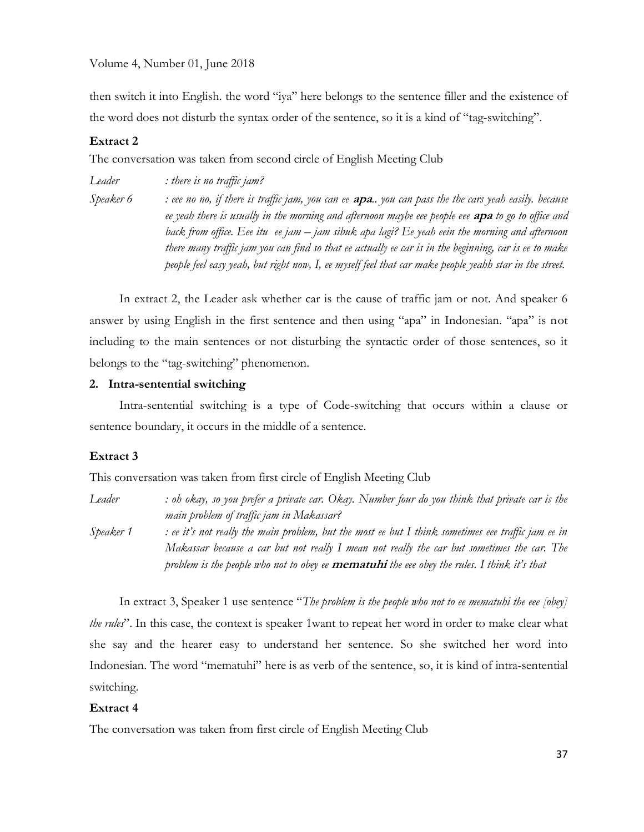Volume 4, Number 01, June 2018

then switch it into English. the word "iya" here belongs to the sentence filler and the existence of the word does not disturb the syntax order of the sentence, so it is a kind of "tag-switching".

## **Extract 2**

The conversation was taken from second circle of English Meeting Club

*Leader : there is no traffic jam? Speaker 6 : eee no no, if there is traffic jam, you can ee* **apa***.. you can pass the the cars yeah easily. because ee yeah there is usually in the morning and afternoon maybe eee people eee* **apa** *to go to office and back from office. Eee itu ee jam – jam sibuk apa lagi? Ee yeah eein the morning and afternoon there many traffic jam you can find so that ee actually ee car is in the beginning, car is ee to make people feel easy yeah, but right now, I, ee myself feel that car make people yeahh star in the street.* 

In extract 2, the Leader ask whether car is the cause of traffic jam or not. And speaker 6 answer by using English in the first sentence and then using "apa" in Indonesian. "apa" is not including to the main sentences or not disturbing the syntactic order of those sentences, so it belongs to the "tag-switching" phenomenon.

## **2. Intra-sentential switching**

Intra-sentential switching is a type of Code-switching that occurs within a clause or sentence boundary, it occurs in the middle of a sentence.

## **Extract 3**

This conversation was taken from first circle of English Meeting Club

*Leader : oh okay, so you prefer a private car. Okay. Number four do you think that private car is the main problem of traffic jam in Makassar? Speaker 1 : ee it's not really the main problem, but the most ee but I think sometimes eee traffic jam ee in Makassar because a car but not really I mean not really the car but sometimes the car. The problem is the people who not to obey ee* **mematuhi** *the eee obey the rules. I think it's that* 

In extract 3, Speaker 1 use sentence "*The problem is the people who not to ee mematuhi the eee [obey] the rules*". In this case, the context is speaker 1want to repeat her word in order to make clear what she say and the hearer easy to understand her sentence. So she switched her word into Indonesian. The word "mematuhi" here is as verb of the sentence, so, it is kind of intra-sentential switching.

## **Extract 4**

The conversation was taken from first circle of English Meeting Club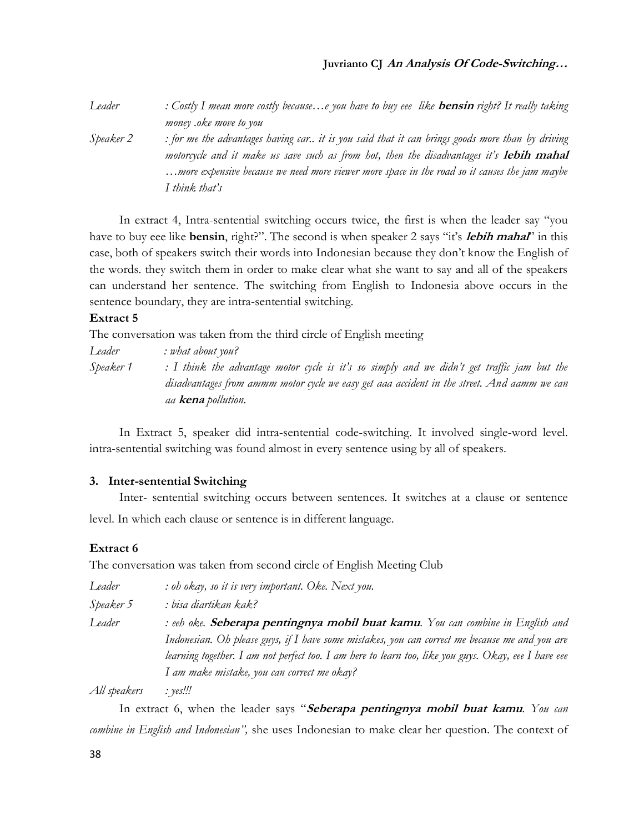*Leader : Costly I mean more costly because…e you have to buy eee like* **bensin** *right? It really taking money .oke move to you Speaker 2 : for me the advantages having car.. it is you said that it can brings goods more than by driving motorcycle and it make us save such as from hot, then the disadvantages it's* **lebih mahal** *…more expensive because we need more viewer more space in the road so it causes the jam maybe I think that's* 

In extract 4, Intra-sentential switching occurs twice, the first is when the leader say "you have to buy eee like **bensin**, right?". The second is when speaker 2 says "it's **lebih mahal**" in this case, both of speakers switch their words into Indonesian because they don't know the English of the words. they switch them in order to make clear what she want to say and all of the speakers can understand her sentence. The switching from English to Indonesia above occurs in the sentence boundary, they are intra-sentential switching.

## **Extract 5**

The conversation was taken from the third circle of English meeting

*Leader : what about you? Speaker 1 : I think the advantage motor cycle is it's so simply and we didn't get traffic jam but the disadvantages from ammm motor cycle we easy get aaa accident in the street. And aamm we can aa* **kena** *pollution.*

In Extract 5, speaker did intra-sentential code-switching. It involved single-word level. intra-sentential switching was found almost in every sentence using by all of speakers.

## **3. Inter-sentential Switching**

Inter- sentential switching occurs between sentences. It switches at a clause or sentence level. In which each clause or sentence is in different language.

## **Extract 6**

The conversation was taken from second circle of English Meeting Club

| Leader    | : oh okay, so it is very important. Oke. Next you.                                                                                                                                                                                                                                                                                              |
|-----------|-------------------------------------------------------------------------------------------------------------------------------------------------------------------------------------------------------------------------------------------------------------------------------------------------------------------------------------------------|
| Speaker 5 | : bisa diartikan kak?                                                                                                                                                                                                                                                                                                                           |
| Leader    | : eeh oke. <b>Seberapa pentingnya mobil buat kamu</b> . You can combine in English and<br>Indonesian. Oh please guys, if I have some mistakes, you can correct me because me and you are<br>learning together. I am not perfect too. I am here to learn too, like you guys. Okay, eee I have eee<br>I am make mistake, you can correct me okay? |

*All speakers : yes!!!*

In extract 6, when the leader says "**Seberapa pentingnya mobil buat kamu***. You can combine in English and Indonesian",* she uses Indonesian to make clear her question. The context of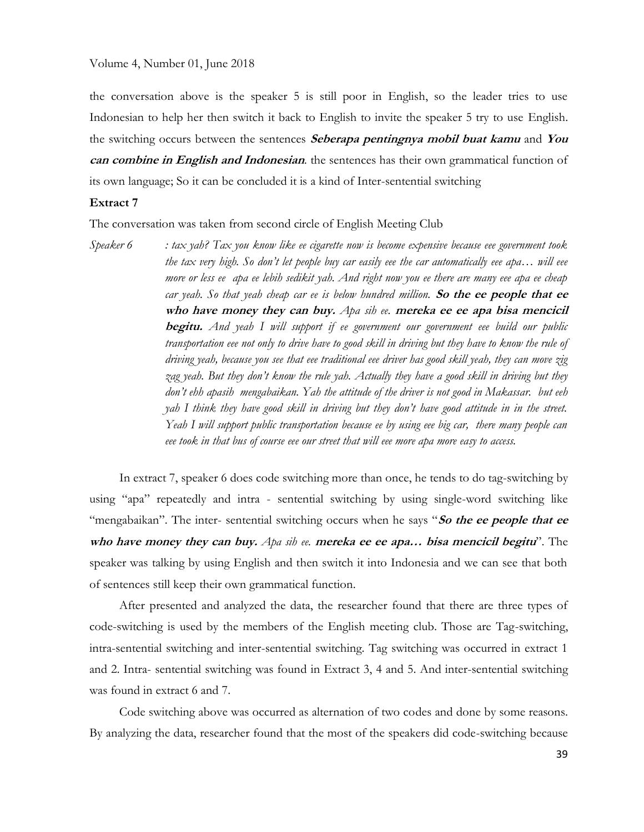the conversation above is the speaker 5 is still poor in English, so the leader tries to use Indonesian to help her then switch it back to English to invite the speaker 5 try to use English. the switching occurs between the sentences **Seberapa pentingnya mobil buat kamu** and **You can combine in English and Indonesian***.* the sentences has their own grammatical function of its own language; So it can be concluded it is a kind of Inter-sentential switching

## **Extract 7**

The conversation was taken from second circle of English Meeting Club

In extract 7, speaker 6 does code switching more than once, he tends to do tag-switching by using "apa" repeatedly and intra - sentential switching by using single-word switching like "mengabaikan". The inter- sentential switching occurs when he says "**So the ee people that ee who have money they can buy.** *Apa sih ee.* **mereka ee ee apa… bisa mencicil begitu**". The speaker was talking by using English and then switch it into Indonesia and we can see that both of sentences still keep their own grammatical function.

After presented and analyzed the data, the researcher found that there are three types of code-switching is used by the members of the English meeting club. Those are Tag-switching, intra-sentential switching and inter-sentential switching. Tag switching was occurred in extract 1 and 2. Intra- sentential switching was found in Extract 3, 4 and 5. And inter-sentential switching was found in extract 6 and 7.

Code switching above was occurred as alternation of two codes and done by some reasons. By analyzing the data, researcher found that the most of the speakers did code-switching because

*Speaker 6 : tax yah? Tax you know like ee cigarette now is become expensive because eee government took the tax very high. So don't let people buy car easily eee the car automatically eee apa… will eee more or less ee apa ee lebih sedikit yah. And right now you ee there are many eee apa ee cheap car yeah. So that yeah cheap car ee is below hundred million.* **So the ee people that ee who have money they can buy.** *Apa sih ee.* **mereka ee ee apa bisa mencicil begitu.** *And yeah I will support if ee government our government eee build our public transportation eee not only to drive have to good skill in driving but they have to know the rule of driving yeah, because you see that eee traditional eee driver has good skill yeah, they can move zig zag yeah. But they don't know the rule yah. Actually they have a good skill in driving but they don't ehh apasih mengabaikan. Yah the attitude of the driver is not good in Makassar. but eeh yah I think they have good skill in driving but they don't have good attitude in in the street. Yeah I will support public transportation because ee by using eee big car, there many people can eee took in that bus of course eee our street that will eee more apa more easy to access.*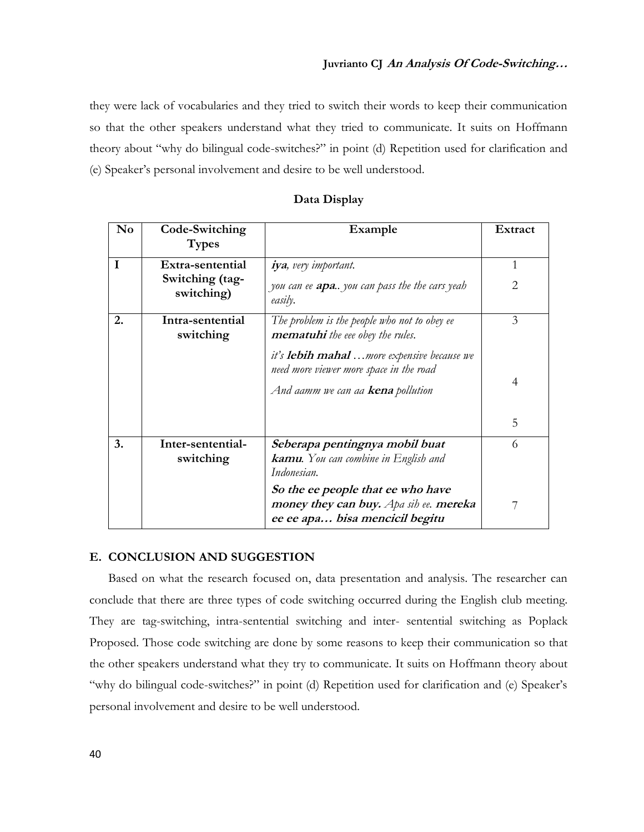they were lack of vocabularies and they tried to switch their words to keep their communication so that the other speakers understand what they tried to communicate. It suits on Hoffmann theory about "why do bilingual code-switches?" in point (d) Repetition used for clarification and (e) Speaker's personal involvement and desire to be well understood.

|  | Data Display |  |
|--|--------------|--|
|--|--------------|--|

| N <sub>0</sub> | Code-Switching<br><b>Types</b> | Example                                                                                                       | Extract |
|----------------|--------------------------------|---------------------------------------------------------------------------------------------------------------|---------|
| $\mathbf I$    | Extra-sentential               | iva, very important.                                                                                          | 1       |
|                | Switching (tag-<br>switching)  | you can ee <b>apa.</b> . you can pass the the cars yeah<br>easily.                                            | 2.      |
| 2.             | Intra-sentential<br>switching  | The problem is the people who not to obey ee<br><b>mematuhi</b> the eee obey the rules.                       | 3       |
|                |                                | it's <b>lebih mahal</b> more expensive because we<br>need more viewer more space in the road                  |         |
|                |                                | And aamm we can aa <b>kena</b> pollution                                                                      | 4       |
|                |                                |                                                                                                               | 5       |
| 3.             | Inter-sentential-<br>switching | Seberapa pentingnya mobil buat<br><b>kamu.</b> You can combine in English and<br>Indonesian.                  | 6       |
|                |                                | So the ee people that ee who have<br>money they can buy. Apa sih ee. mereka<br>ee ee apa bisa mencicil begitu |         |

## **E. CONCLUSION AND SUGGESTION**

Based on what the research focused on, data presentation and analysis. The researcher can conclude that there are three types of code switching occurred during the English club meeting. They are tag-switching, intra-sentential switching and inter- sentential switching as Poplack Proposed. Those code switching are done by some reasons to keep their communication so that the other speakers understand what they try to communicate. It suits on Hoffmann theory about "why do bilingual code-switches?" in point (d) Repetition used for clarification and (e) Speaker's personal involvement and desire to be well understood.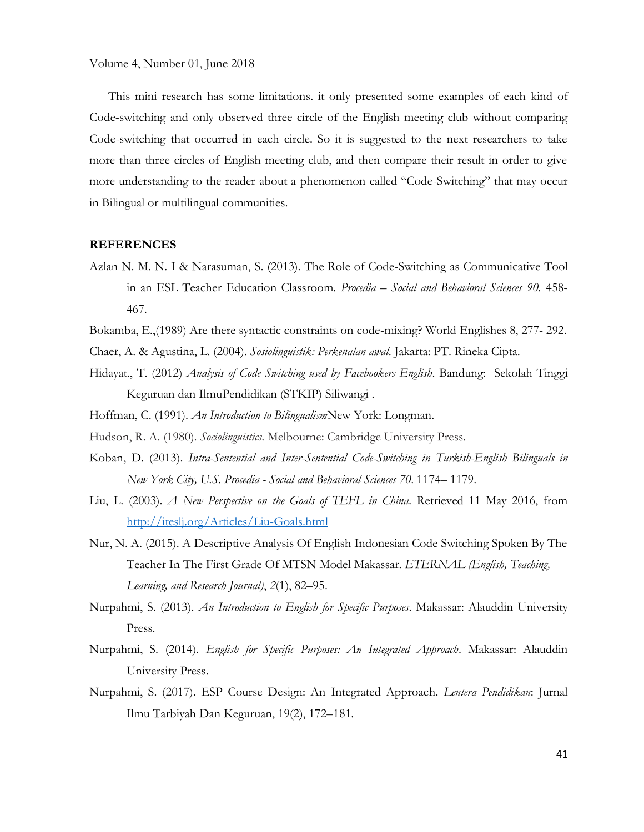This mini research has some limitations. it only presented some examples of each kind of Code-switching and only observed three circle of the English meeting club without comparing Code-switching that occurred in each circle. So it is suggested to the next researchers to take more than three circles of English meeting club, and then compare their result in order to give more understanding to the reader about a phenomenon called "Code-Switching" that may occur in Bilingual or multilingual communities.

#### **REFERENCES**

Azlan N. M. N. I & Narasuman, S. (2013). The Role of Code-Switching as Communicative Tool in an ESL Teacher Education Classroom. *Procedia – Social and Behavioral Sciences 90.* 458- 467.

Bokamba, E.,(1989) Are there syntactic constraints on code-mixing? World Englishes 8, 277- 292.

Chaer, A. & Agustina, L. (2004). *Sosiolinguistik: Perkenalan awal*. Jakarta: PT. Rineka Cipta.

Hidayat., T. (2012) *Analysis of Code Switching used by Facebookers English*. Bandung: Sekolah Tinggi Keguruan dan IlmuPendidikan (STKIP) Siliwangi .

Hoffman, C. (1991). *An Introduction to Bilingualism*New York: Longman.

Hudson, R. A. (1980). *Sociolinguistics*. Melbourne: Cambridge University Press.

- Koban, D. (2013). *Intra-Sentential and Inter-Sentential Code-Switching in Turkish-English Bilinguals in New York City, U.S. Procedia - Social and Behavioral Sciences 70*. 1174– 1179.
- Liu, L. (2003). *A New Perspective on the Goals of TEFL in China.* Retrieved 11 May 2016, from <http://iteslj.org/Articles/Liu-Goals.html>
- Nur, N. A. (2015). A Descriptive Analysis Of English Indonesian Code Switching Spoken By The Teacher In The First Grade Of MTSN Model Makassar. *ETERNAL (English, Teaching, Learning, and Research Journal)*, *2*(1), 82–95.
- Nurpahmi, S. (2013). *An Introduction to English for Specific Purposes*. Makassar: Alauddin University Press.
- Nurpahmi, S. (2014). *English for Specific Purposes: An Integrated Approach*. Makassar: Alauddin University Press.
- Nurpahmi, S. (2017). ESP Course Design: An Integrated Approach. *Lentera Pendidikan*: Jurnal Ilmu Tarbiyah Dan Keguruan, 19(2), 172–181.